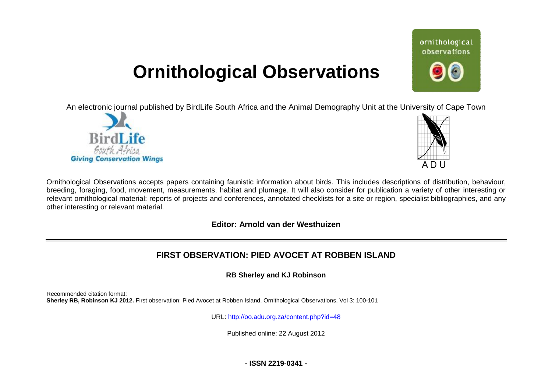# **Ornithological Observations**

An electronic journal published by BirdLife South Africa and the Animal Demography Unit at the University of Cape Town





ornithological observations

Ornithological Observations accepts papers containing faunistic information about birds. This includes descriptions of distribution, behaviour, breeding, foraging, food, movement, measurements, habitat and plumage. It will also consider for publication a variety of other interesting or relevant ornithological material: reports of projects and conferences, annotated checklists for a site or region, specialist bibliographies, and any other interesting or relevant material.

## **Editor: Arnold van der Westhuizen**

## **FI FIRST OBSERVATION: PIED AVOCET AT ROBBEN ISLAN OCETISLAND**

**RB Sherley and KJ Robinson Robinson**

Recommended citation format: Sherley RB, Robinson KJ 2012. First observation: Pied Avocet at Robben Island. Ornithological Observations, Vol 3: 100-101

URL: http://oo.adu.org.za/content.php?id=48

Published online: 22 August 2012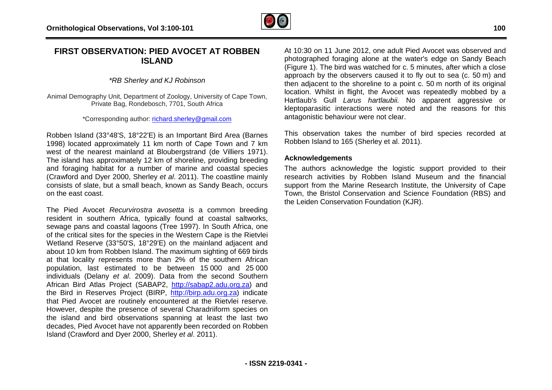

 $*$ *RB* Sherley and KJ Robinson

Animal Demography Unit, Department of Zoology, University of Cape Town, Private Bag, Rondebosch, 7701, South Africa

\*Corresponding author: [richard.sherley@gmail.com](mailto:richard.sherley@gmail.com)

Robben Island (33°48'S, 18°22'E) is an Important Bird Area (Barnes Robben Island (33°48'S, 18°22'E) is an Important Bird Area (Barnes<br>1998) located approximately 11 km north of Cape Town and 7 km west of the nearest mainland at Bloubergstrand (de Villiers 1971).<br>The island has approximately 12 km of shoreline, providing breeding<br>and foraging habitat for a number of marine and coastal species<br>(Crawford and Dyer 2000 The island has approximately 12 km of shoreline, providing breeding and foraging habitat for a number of marine and coastal species (Crawford and Dyer 2000, Sherley et al. 2011). The coastline mainly consists of slate, but a small beach, known as Sandy Beach, occurs on the east coast.

The Pied Avocet *Recurvirostra avosetta*  is a common breeding resident in southern Africa, typically found at coastal saltworks, sewage pans and coastal lagoons (Tree 1997). In South Africa, one of the critical sites for the species in the Western Cape is the Rietvlei Wetland Reserve (33°50'S, 18°29'E) on the mainland adjacent and about 10 km from Robben Island. The maximum sighting of 669 birds at that locality represents more than 2% of the southern African population, last estimated to be between 15 individuals (Delany et al. 2009). Data from the second Southern African Bird Atlas Project (SABAP2, <http://sabap2.adu.org.za>) and the Bird in Reserves Project (BIRP, <http://birp.adu.org.za>) indicate that Pied Avocet are routinely encountered at the Rietvlei reserve. However, despite the presence of several Charadriiform species on the island and bird observations spanning at least the last two decades, Pied Avocet have not apparently been recorded on Robben Island (Crawford and Dyer 2000, Sherley et al. 2011). esident in southern Africa, typically found at coastal saltworks, ewage pans and coastal lagoons (Tree 1997). In South Africa, one of the critical sites for the species in the Western Cape is the Rietvlei Vetland Reserve ( Robben Island. The maximum sighting of 669 birds<br>presents more than 2% of the southern African<br>estimated to be between 15 000 and 25 000 I Avocet are routinely encountered at the R, despite the presence of several Charadriiford and bird observations spanning at leas Pied Avocet have not apparently been record rawford and Dyer 2000, Sherley *et al.* 2011).

At 10:30 on 11 June 2012, one adult Pied Avocet was observed and photographed foraging alone at the water's edge on Sandy Beach (Figure 1). The bird was watched for c. 5 minutes, after which a close (Figure 1). The bird was watched for c. 5 minutes, after which a close<br>approach by the observers caused it to fly out to sea (c. 50 m) and then adjacent to the shoreline to a point c. 50 m north of its original location. Whilst in flight, the Avocet was repeatedly mobbed by a Hartlaub's Gull *Larus hartlaubii.* No apparent aggressive or kleptoparasitic interactions were noted and the reasons for this<br>antagonistic behaviour were not clear. antagonistic behaviour were not clear. 100<br>
Pied Avocet was observed and<br>
water's edge on Sandy Beach<br>
c. 5 minutes, after which a close<br>
t to fly out to sea (c. 50 m) and<br>
ioint c. 50 m north of its original<br>
ivas repeatedly mobbed by a<br>
No apparent aggressive

This observation takes the number of bird species recorded at Robben Island to 165 (Sherley et al. 2011).

### **Acknowledgements**

The authors acknowledge the logistic support provided to their research activities by Robben Island Museum and the financial support from the Marine Research Institute, the University of Cape Town, the B Bristol Conservation and Science Foundation (RBS) and the Leiden Conservation Foundation (KJR).